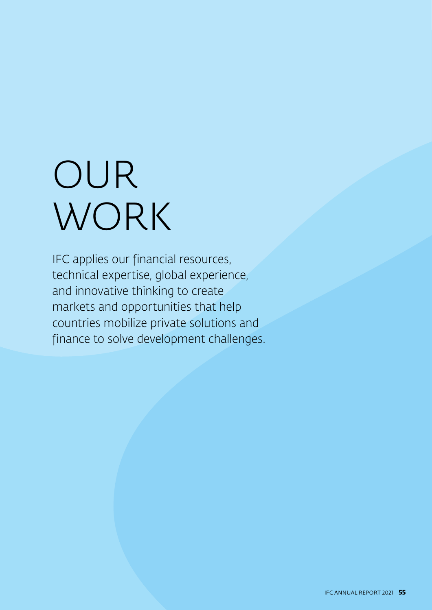# OUR WORK

IFC applies our financial resources, technical expertise, global experience, and innovative thinking to create markets and opportunities that help countries mobilize private solutions and finance to solve development challenges.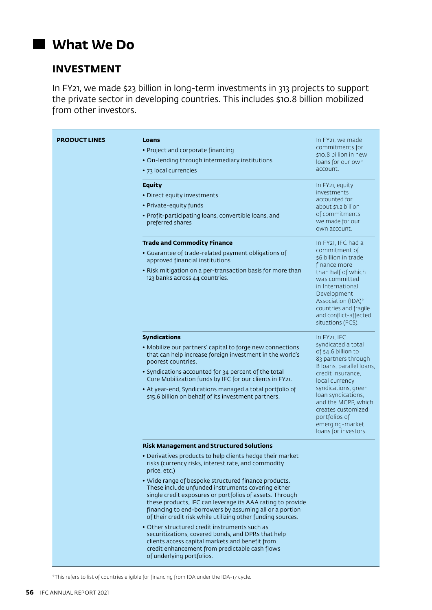## **What We Do**

## **INVESTMENT**

In FY21, we made \$23 billion in long-term investments in 313 projects to support the private sector in developing countries. This includes \$10.8 billion mobilized from other investors.

| <b>PRODUCT LINES</b> | Loans<br>• Project and corporate financing<br>• On-lending through intermediary institutions<br>• 73 local currencies<br><b>Equity</b><br>• Direct equity investments<br>• Private-equity funds<br>• Profit-participating loans, convertible loans, and<br>preferred shares                                                                                                                                                                                                                                                                                                                                                                                                                                                                                                                    | In FY <sub>21</sub> , we made<br>commitments for<br>\$10.8 billion in new<br>loans for our own<br>account.<br>In FY21, equity<br>investments<br>accounted for<br>about \$1.2 billion<br>of commitments<br>we made for our<br>own account.                                                                              |
|----------------------|------------------------------------------------------------------------------------------------------------------------------------------------------------------------------------------------------------------------------------------------------------------------------------------------------------------------------------------------------------------------------------------------------------------------------------------------------------------------------------------------------------------------------------------------------------------------------------------------------------------------------------------------------------------------------------------------------------------------------------------------------------------------------------------------|------------------------------------------------------------------------------------------------------------------------------------------------------------------------------------------------------------------------------------------------------------------------------------------------------------------------|
|                      | <b>Trade and Commodity Finance</b><br>• Guarantee of trade-related payment obligations of<br>approved financial institutions<br>• Risk mitigation on a per-transaction basis for more than<br>123 banks across 44 countries.                                                                                                                                                                                                                                                                                                                                                                                                                                                                                                                                                                   | In FY21, IFC had a<br>commitment of<br>\$6 billion in trade<br>finance more<br>than half of which<br>was committed<br>in International<br>Development<br>Association (IDA)*<br>countries and fragile<br>and conflict-affected<br>situations (FCS).                                                                     |
|                      | <b>Syndications</b><br>• Mobilize our partners' capital to forge new connections<br>that can help increase foreign investment in the world's<br>poorest countries.<br>• Syndications accounted for 34 percent of the total<br>Core Mobilization funds by IFC for our clients in FY21.<br>• At year-end, Syndications managed a total portfolio of<br>\$15.6 billion on behalf of its investment partners.                                                                                                                                                                                                                                                                                                                                                                                      | In FY <sub>21</sub> , IFC<br>syndicated a total<br>of \$4.6 billion to<br>83 partners through<br>B loans, parallel loans,<br>credit insurance,<br>local currency<br>syndications, green<br>loan syndications,<br>and the MCPP, which<br>creates customized<br>portfolios of<br>emerging-market<br>loans for investors. |
|                      | <b>Risk Management and Structured Solutions</b><br>• Derivatives products to help clients hedge their market<br>risks (currency risks, interest rate, and commodity<br>price, etc.)<br>• Wide range of bespoke structured finance products.<br>These include unfunded instruments covering either<br>single credit exposures or portfolios of assets. Through<br>these products, IFC can leverage its AAA rating to provide<br>financing to end-borrowers by assuming all or a portion<br>of their credit risk while utilizing other funding sources.<br>• Other structured credit instruments such as<br>securitizations, covered bonds, and DPRs that help<br>clients access capital markets and benefit from<br>credit enhancement from predictable cash flows<br>of underlying portfolios. |                                                                                                                                                                                                                                                                                                                        |

\*This refers to list of countries eligible for financing from IDA under the IDA-17 cycle.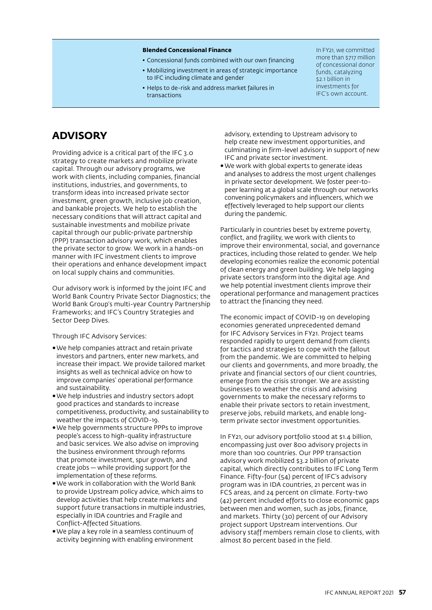#### **Blended Concessional Finance**

- Concessional funds combined with our own financing
- Mobilizing investment in areas of strategic importance to IFC including climate and gender
- Helps to de-risk and address market failures in transactions

In FY21, we committed more than \$717 million of concessional donor funds, catalyzing \$2.1 billion in investments for IFC's own account.

### **ADVISORY**

Providing advice is a critical part of the IFC 3.0 strategy to create markets and mobilize private capital. Through our advisory programs, we work with clients, including companies, financial institutions, industries, and governments, to transform ideas into increased private sector investment, green growth, inclusive job creation, and bankable projects. We help to establish the necessary conditions that will attract capital and sustainable investments and mobilize private capital through our public-private partnership (PPP) transaction advisory work, which enables the private sector to grow. We work in a hands-on manner with IFC investment clients to improve their operations and enhance development impact on local supply chains and communities.

Our advisory work is informed by the joint IFC and World Bank Country Private Sector Diagnostics; the World Bank Group's multi-year Country Partnership Frameworks; and IFC's Country Strategies and Sector Deep Dives.

Through IFC Advisory Services:

- •We help companies attract and retain private investors and partners, enter new markets, and increase their impact. We provide tailored market insights as well as technical advice on how to improve companies' operational performance and sustainability.
- •We help industries and industry sectors adopt good practices and standards to increase competitiveness, productivity, and sustainability to weather the impacts of COVID-19.
- •We help governments structure PPPs to improve people's access to high-quality infrastructure and basic services. We also advise on improving the business environment through reforms that promote investment, spur growth, and create jobs — while providing support for the implementation of these reforms.
- •We work in collaboration with the World Bank to provide Upstream policy advice, which aims to develop activities that help create markets and support future transactions in multiple industries, especially in IDA countries and Fragile and Conflict-Affected Situations.
- •We play a key role in a seamless continuum of activity beginning with enabling environment

advisory, extending to Upstream advisory to help create new investment opportunities, and culminating in firm-level advisory in support of new IFC and private sector investment.

•We work with global experts to generate ideas and analyses to address the most urgent challenges in private sector development. We foster peer-topeer learning at a global scale through our networks convening policymakers and influencers, which we effectively leveraged to help support our clients during the pandemic.

Particularly in countries beset by extreme poverty, conflict, and fragility, we work with clients to improve their environmental, social, and governance practices, including those related to gender. We help developing economies realize the economic potential of clean energy and green building. We help lagging private sectors transform into the digital age. And we help potential investment clients improve their operational performance and management practices to attract the financing they need.

The economic impact of COVID-19 on developing economies generated unprecedented demand for IFC Advisory Services in FY21. Project teams responded rapidly to urgent demand from clients for tactics and strategies to cope with the fallout from the pandemic. We are committed to helping our clients and governments, and more broadly, the private and financial sectors of our client countries, emerge from the crisis stronger. We are assisting businesses to weather the crisis and advising governments to make the necessary reforms to enable their private sectors to retain investment, preserve jobs, rebuild markets, and enable longterm private sector investment opportunities.

In FY21, our advisory portfolio stood at \$1.4 billion, encompassing just over 800 advisory projects in more than 100 countries. Our PPP transaction advisory work mobilized \$3.2 billion of private capital, which directly contributes to IFC Long Term Finance. Fifty-four (54) percent of IFC's advisory program was in IDA countries, 21 percent was in FCS areas, and 24 percent on climate. Forty-two (42) percent included efforts to close economic gaps between men and women, such as jobs, finance, and markets. Thirty (30) percent of our Advisory project support Upstream interventions. Our advisory staff members remain close to clients, with almost 80 percent based in the field.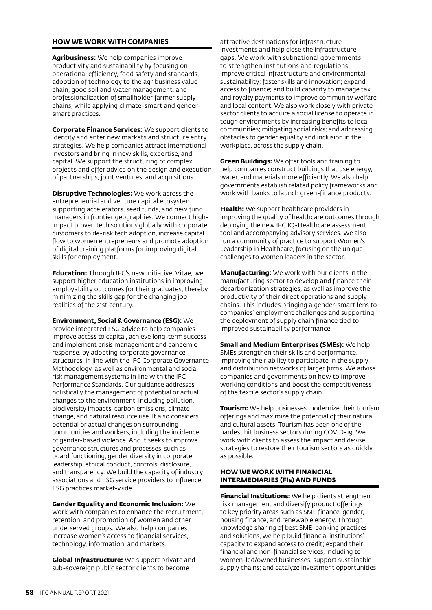#### **HOW WE WORK WITH COMPANIES**

**Agribusiness:** We help companies improve productivity and sustainability by focusing on operational efficiency, food safety and standards, adoption of technology to the agribusiness value chain, good soil and water management, and professionalization of smallholder farmer supply chains, while applying climate-smart and gendersmart practices.

**Corporate Finance Services:** We support clients to identify and enter new markets and structure entry strategies. We help companies attract international investors and bring in new skills, expertise, and capital. We support the structuring of complex projects and offer advice on the design and execution of partnerships, joint ventures, and acquisitions.

**Disruptive Technologies:** We work across the entrepreneurial and venture capital ecosystem supporting accelerators, seed funds, and new fund managers in frontier geographies. We connect highimpact proven tech solutions globally with corporate customers to de-risk tech adoption, increase capital flow to women entrepreneurs and promote adoption of digital training platforms for improving digital skills for employment.

**Education:** Through IFC's new initiative, Vitae, we support higher education institutions in improving employability outcomes for their graduates, thereby minimizing the skills gap for the changing job realities of the 21st century.

**Environment, Social & Governance (ESG):** We provide integrated ESG advice to help companies improve access to capital, achieve long-term success and implement crisis management and pandemic response, by adopting corporate governance structures, in line with the IFC Corporate Governance Methodology, as well as environmental and social risk management systems in line with the IFC Performance Standards. Our guidance addresses holistically the management of potential or actual changes to the environment, including pollution, biodiversity impacts, carbon emissions, climate change, and natural resource use. It also considers potential or actual changes on surrounding communities and workers, including the incidence of gender-based violence. And it seeks to improve governance structures and processes, such as board functioning, gender diversity in corporate leadership, ethical conduct, controls, disclosure, and transparency. We build the capacity of industry associations and ESG service providers to influence ESG practices market-wide.

**Gender Equality and Economic Inclusion:** We work with companies to enhance the recruitment, retention, and promotion of women and other underserved groups. We also help companies increase women's access to financial services, technology, information, and markets.

**Global Infrastructure:** We support private and sub-sovereign public sector clients to become

attractive destinations for infrastructure investments and help close the infrastructure gaps. We work with subnational governments to strengthen institutions and regulations; improve critical infrastructure and environmental sustainability; foster skills and innovation; expand access to finance; and build capacity to manage tax and royalty payments to improve community welfare and local content. We also work closely with private sector clients to acquire a social license to operate in tough environments by increasing benefits to local communities; mitigating social risks; and addressing obstacles to gender equality and inclusion in the workplace, across the supply chain.

**Green Buildings:** We offer tools and training to help companies construct buildings that use energy, water, and materials more efficiently. We also help governments establish related policy frameworks and work with banks to launch green-finance products.

**Health:** We support healthcare providers in improving the quality of healthcare outcomes through deploying the new IFC IQ-Healthcare assessment tool and accompanying advisory services. We also run a community of practice to support Women's Leadership in Healthcare, focusing on the unique challenges to women leaders in the sector.

**Manufacturing:** We work with our clients in the manufacturing sector to develop and finance their decarbonization strategies, as well as improve the productivity of their direct operations and supply chains. This includes bringing a gender-smart lens to companies' employment challenges and supporting the deployment of supply chain finance tied to improved sustainability performance.

**Small and Medium Enterprises (SMEs):** We help SMEs strengthen their skills and performance, improving their ability to participate in the supply and distribution networks of larger firms. We advise companies and governments on how to improve working conditions and boost the competitiveness of the textile sector's supply chain.

**Tourism:** We help businesses modernize their tourism offerings and maximize the potential of their natural and cultural assets. Tourism has been one of the hardest hit business sectors during COVID-19. We work with clients to assess the impact and devise strategies to restore their tourism sectors as quickly as possible.

#### **HOW WE WORK WITH FINANCIAL INTERMEDIARIES (FIs) AND FUNDS**

**Financial Institutions:** We help clients strengthen risk management and diversify product offerings to key priority areas such as SME finance, gender, housing finance, and renewable energy. Through knowledge sharing of best SME-banking practices and solutions, we help build financial institutions' capacity to expand access to credit; expand their financial and non-financial services, including to women-led/owned businesses; support sustainable supply chains; and catalyze investment opportunities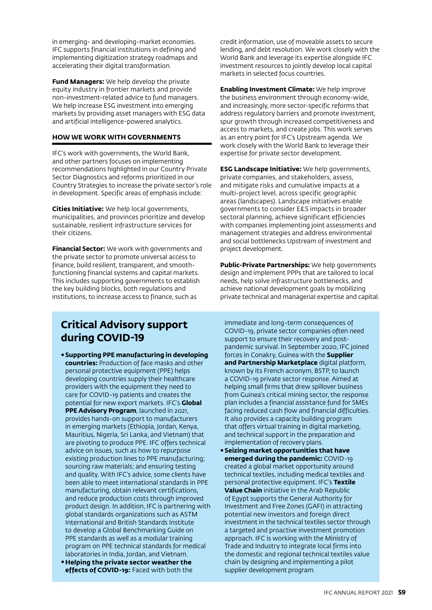in emerging- and developing-market economies. IFC supports financial institutions in defining and implementing digitization strategy roadmaps and accelerating their digital transformation.

**Fund Managers:** We help develop the private equity industry in frontier markets and provide non-investment-related advice to fund managers. We help increase ESG investment into emerging markets by providing asset managers with ESG data and artificial intelligence-powered analytics.

#### **HOW WE WORK WITH GOVERNMENTS**

IFC's work with governments, the World Bank, and other partners focuses on implementing recommendations highlighted in our Country Private Sector Diagnostics and reforms prioritized in our Country Strategies to increase the private sector's role in development. Specific areas of emphasis include:

**Cities Initiative:** We help local governments, municipalities, and provinces prioritize and develop sustainable, resilient infrastructure services for their citizens.

**Financial Sector:** We work with governments and the private sector to promote universal access to finance, build resilient, transparent, and smoothfunctioning financial systems and capital markets. This includes supporting governments to establish the key building blocks, both regulations and institutions, to increase access to finance, such as

credit information, use of moveable assets to secure lending, and debt resolution. We work closely with the World Bank and leverage its expertise alongside IFC investment resources to jointly develop local capital markets in selected focus countries.

**Enabling Investment Climate:** We help improve the business environment through economy-wide, and increasingly, more sector-specific reforms that address regulatory barriers and promote investment, spur growth through increased competitiveness and access to markets, and create jobs. This work serves as an entry point for IFC's Upstream agenda. We work closely with the World Bank to leverage their expertise for private sector development.

**ESG Landscape Initiative:** We help governments, private companies, and stakeholders, assess, and mitigate risks and cumulative impacts at a multi-project level, across specific geographic areas (landscapes). Landscape initiatives enable governments to consider E&S impacts in broader sectoral planning, achieve significant efficiencies with companies implementing joint assessments and management strategies and address environmental and social bottlenecks Upstream of investment and project development.

**Public-Private Partnerships:** We help governments design and implement PPPs that are tailored to local needs, help solve infrastructure bottlenecks, and achieve national development goals by mobilizing private technical and managerial expertise and capital.

## **Critical Advisory support during COVID-19**

- •**Supporting PPE manufacturing in developing countries:** Production of face masks and other personal protective equipment (PPE) helps developing countries supply their healthcare providers with the equipment they need to care for COVID-19 patients and creates the potential for new export markets. IFC's **Global PPE Advisory Program**, launched in 2021, provides hands-on support to manufacturers in emerging markets (Ethiopia, Jordan, Kenya, Mauritius, Nigeria, Sri Lanka, and Vietnam) that are pivoting to produce PPE. IFC offers technical advice on issues, such as how to repurpose existing production lines to PPE manufacturing; sourcing raw materials; and ensuring testing and quality. With IFC's advice, some clients have been able to meet international standards in PPE manufacturing, obtain relevant certifications, and reduce production costs through improved product design. In addition, IFC is partnering with global standards organizations such as ASTM International and British Standards Institute to develop a Global Benchmarking Guide on PPE standards as well as a modular training program on PPE technical standards for medical laboratories in India, Jordan, and Vietnam. •**Helping the private sector weather the**
- **effects of COVID-19:** Faced with both the

immediate and long-term consequences of COVID-19, private sector companies often need support to ensure their recovery and postpandemic survival. In September 2020, IFC joined forces in Conakry, Guinea with the **Supplier and Partnership Marketplace** digital platform, known by its French acronym, BSTP, to launch a COVID-19 private sector response. Aimed at helping small firms that drew spillover business from Guinea's critical mining sector, the response plan includes a financial assistance fund for SMEs facing reduced cash flow and financial difficulties. It also provides a capacity building program that offers virtual training in digital marketing, and technical support in the preparation and implementation of recovery plans.

•**Seizing market opportunities that have emerged during the pandemic:** COVID-19 created a global market opportunity around technical textiles, including medical textiles and personal protective equipment. IFC's **Textile Value Chain** initiative in the Arab Republic of Egypt supports the General Authority for Investment and Free Zones (GAFI) in attracting potential new investors and foreign direct investment in the technical textiles sector through a targeted and proactive investment promotion approach. IFC is working with the Ministry of Trade and Industry to integrate local firms into the domestic and regional technical textiles value chain by designing and implementing a pilot supplier development program.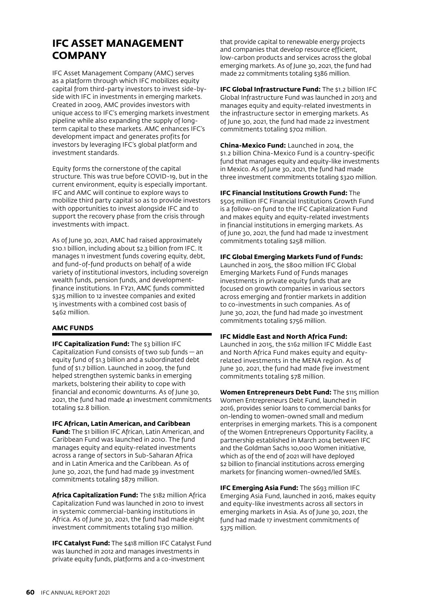## **IFC ASSET MANAGEMENT COMPANY**

IFC Asset Management Company (AMC) serves as a platform through which IFC mobilizes equity capital from third-party investors to invest side-byside with IFC in investments in emerging markets. Created in 2009, AMC provides investors with unique access to IFC's emerging markets investment pipeline while also expanding the supply of longterm capital to these markets. AMC enhances IFC's development impact and generates profits for investors by leveraging IFC's global platform and investment standards.

Equity forms the cornerstone of the capital structure. This was true before COVID-19, but in the current environment, equity is especially important. IFC and AMC will continue to explore ways to mobilize third party capital so as to provide investors with opportunities to invest alongside IFC and to support the recovery phase from the crisis through investments with impact.

As of June 30, 2021, AMC had raised approximately \$10.1 billion, including about \$2.3 billion from IFC. It manages 11 investment funds covering equity, debt, and fund-of-fund products on behalf of a wide variety of institutional investors, including sovereign wealth funds, pension funds, and developmentfinance institutions. In FY21, AMC funds committed \$325 million to 12 investee companies and exited 15 investments with a combined cost basis of \$462 million.

#### **AMC FUNDS**

**IFC Capitalization Fund:** The \$3 billion IFC Capitalization Fund consists of two sub funds — an equity fund of \$1.3 billion and a subordinated debt fund of \$1.7 billion. Launched in 2009, the fund helped strengthen systemic banks in emerging markets, bolstering their ability to cope with financial and economic downturns. As of June 30, 2021, the fund had made 41 investment commitments totaling \$2.8 billion.

**IFC African, Latin American, and Caribbean Fund:** The \$1 billion IFC African, Latin American, and Caribbean Fund was launched in 2010. The fund manages equity and equity-related investments across a range of sectors in Sub-Saharan Africa and in Latin America and the Caribbean. As of June 30, 2021, the fund had made 39 investment commitments totaling \$879 million.

**Africa Capitalization Fund:** The \$182 million Africa Capitalization Fund was launched in 2010 to invest in systemic commercial-banking institutions in Africa. As of June 30, 2021, the fund had made eight investment commitments totaling \$130 million.

**IFC Catalyst Fund:** The \$418 million IFC Catalyst Fund was launched in 2012 and manages investments in private equity funds, platforms and a co-investment

that provide capital to renewable energy projects and companies that develop resource efficient, low-carbon products and services across the global emerging markets. As of June 30, 2021, the fund had made 22 commitments totaling \$386 million.

**IFC Global Infrastructure Fund: The \$1.2 billion IFC** Global Infrastructure Fund was launched in 2013 and manages equity and equity-related investments in the infrastructure sector in emerging markets. As of June 30, 2021, the fund had made 22 investment commitments totaling \$702 million.

**China-Mexico Fund:** Launched in 2014, the \$1.2 billion China-Mexico Fund is a country-specific fund that manages equity and equity-like investments in Mexico. As of June 30, 2021, the fund had made three investment commitments totaling \$320 million.

**IFC Financial Institutions Growth Fund:** The \$505 million IFC Financial Institutions Growth Fund is a follow-on fund to the IFC Capitalization Fund and makes equity and equity-related investments in financial institutions in emerging markets. As of June 30, 2021, the fund had made 12 investment commitments totaling \$258 million.

#### **IFC Global Emerging Markets Fund of Funds:**

Launched in 2015, the \$800 million IFC Global Emerging Markets Fund of Funds manages investments in private equity funds that are focused on growth companies in various sectors across emerging and frontier markets in addition to co-investments in such companies. As of June 30, 2021, the fund had made 30 investment commitments totaling \$756 million.

#### **IFC Middle East and North Africa Fund:**

Launched in 2015, the \$162 million IFC Middle East and North Africa Fund makes equity and equityrelated investments in the MENA region. As of June 30, 2021, the fund had made five investment commitments totaling \$78 million.

**Women Entrepreneurs Debt Fund:** The \$115 million Women Entrepreneurs Debt Fund, launched in 2016, provides senior loans to commercial banks for on-lending to women-owned small and medium enterprises in emerging markets. This is a component of the Women Entrepreneurs Opportunity Facility, a partnership established in March 2014 between IFC and the Goldman Sachs 10,000 Women initiative, which as of the end of 2021 will have deployed \$2 billion to financial institutions across emerging markets for financing women-owned/led SMEs.

**IFC Emerging Asia Fund:** The \$693 million IFC Emerging Asia Fund, launched in 2016, makes equity and equity-like investments across all sectors in emerging markets in Asia. As of June 30, 2021, the fund had made 17 investment commitments of \$375 million.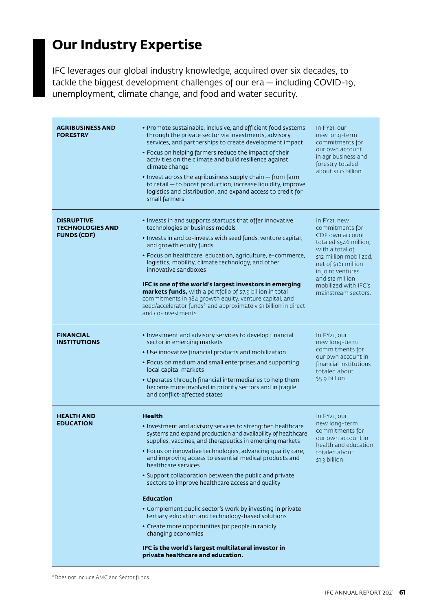# **Our Industry Expertise**

IFC leverages our global industry knowledge, acquired over six decades, to tackle the biggest development challenges of our era — including COVID-19, unemployment, climate change, and food and water security.

| <b>AGRIBUSINESS AND</b><br><b>FORESTRY</b>                         | • Promote sustainable, inclusive, and efficient food systems<br>through the private sector via investments, advisory<br>services, and partnerships to create development impact<br>• Focus on helping farmers reduce the impact of their<br>activities on the climate and build resilience against<br>climate change<br>• Invest across the agribusiness supply chain - from farm<br>to retail - to boost production, increase liquidity, improve<br>logistics and distribution, and expand access to credit for<br>small farmers                                                                                                                                                                                                                                                   | In FY <sub>21</sub> , our<br>new long-term<br>commitments for<br>our own account<br>in agribusiness and<br>forestry totaled<br>about \$1.0 billion.                                                                                                     |
|--------------------------------------------------------------------|-------------------------------------------------------------------------------------------------------------------------------------------------------------------------------------------------------------------------------------------------------------------------------------------------------------------------------------------------------------------------------------------------------------------------------------------------------------------------------------------------------------------------------------------------------------------------------------------------------------------------------------------------------------------------------------------------------------------------------------------------------------------------------------|---------------------------------------------------------------------------------------------------------------------------------------------------------------------------------------------------------------------------------------------------------|
| <b>DISRUPTIVE</b><br><b>TECHNOLOGIES AND</b><br><b>FUNDS (CDF)</b> | • Invests in and supports startups that offer innovative<br>technologies or business models<br>. Invests in and co-invests with seed funds, venture capital,<br>and growth equity funds<br>• Focus on healthcare, education, agriculture, e-commerce,<br>logistics, mobility, climate technology, and other<br>innovative sandboxes<br>IFC is one of the world's largest investors in emerging<br>markets funds, with a portfolio of \$7.9 billion in total<br>commitments in 384 growth equity, venture capital, and<br>seed/accelerator funds* and approximately \$1 billion in direct<br>and co-investments.                                                                                                                                                                     | In FY <sub>21</sub> , new<br>commitments for<br>CDF own account<br>totaled \$546 million,<br>with a total of<br>\$12 million mobilized.<br>net of \$161 million<br>in joint ventures<br>and \$12 million<br>mobilized with IFC's<br>mainstream sectors. |
| <b>FINANCIAL</b><br><b>INSTITUTIONS</b>                            | • Investment and advisory services to develop financial<br>sector in emerging markets<br>• Use innovative financial products and mobilization<br>• Focus on medium and small enterprises and supporting<br>local capital markets<br>• Operates through financial intermediaries to help them<br>become more involved in priority sectors and in fragile<br>and conflict-affected states                                                                                                                                                                                                                                                                                                                                                                                             | In FY <sub>21</sub> , our<br>new long-term<br>commitments for<br>our own account in<br>financial institutions<br>totaled about<br>\$5.9 billion.                                                                                                        |
| <b>HEALTH AND</b><br><b>EDUCATION</b>                              | <b>Health</b><br>• Investment and advisory services to strengthen healthcare<br>systems and expand production and availability of healthcare<br>supplies, vaccines, and therapeutics in emerging markets<br>• Focus on innovative technologies, advancing quality care,<br>and improving access to essential medical products and<br>healthcare services<br>• Support collaboration between the public and private<br>sectors to improve healthcare access and quality<br><b>Education</b><br>• Complement public sector's work by investing in private<br>tertiary education and technology-based solutions<br>• Create more opportunities for people in rapidly<br>changing economies<br>IFC is the world's largest multilateral investor in<br>private healthcare and education. | In FY <sub>21</sub> , our<br>new long-term<br>commitments for<br>our own account in<br>health and education<br>totaled about<br>\$1.3 billion.                                                                                                          |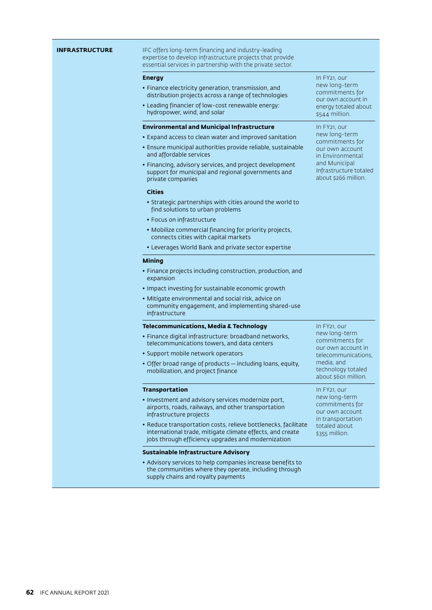| INFRASTRUCTURE | IFC offers long-term financing and industry-leading<br>expertise to develop infrastructure projects that provide<br>essential services in partnership with the private sector.    |                                                                                                        |
|----------------|-----------------------------------------------------------------------------------------------------------------------------------------------------------------------------------|--------------------------------------------------------------------------------------------------------|
|                | <b>Energy</b>                                                                                                                                                                     | In FY21, our                                                                                           |
|                | • Finance electricity generation, transmission, and<br>distribution projects across a range of technologies                                                                       | new long-term<br>commitments for<br>our own account in                                                 |
|                | • Leading financier of low-cost renewable energy:<br>hydropower, wind, and solar                                                                                                  | energy totaled about<br>\$544 million.                                                                 |
|                | <b>Environmental and Municipal Infrastructure</b>                                                                                                                                 | In FY <sub>21</sub> , our                                                                              |
|                | • Expand access to clean water and improved sanitation                                                                                                                            | new long-term<br>commitments for                                                                       |
|                | · Ensure municipal authorities provide reliable, sustainable<br>and affordable services                                                                                           | our own account<br>in Environmental<br>and Municipal<br>Infrastructure totaled<br>about \$266 million. |
|                | · Financing, advisory services, and project development<br>support for municipal and regional governments and<br>private companies                                                |                                                                                                        |
|                | <b>Cities</b>                                                                                                                                                                     |                                                                                                        |
|                | • Strategic partnerships with cities around the world to<br>find solutions to urban problems                                                                                      |                                                                                                        |
|                | • Focus on infrastructure                                                                                                                                                         |                                                                                                        |
|                | • Mobilize commercial financing for priority projects,<br>connects cities with capital markets                                                                                    |                                                                                                        |
|                | • Leverages World Bank and private sector expertise                                                                                                                               |                                                                                                        |
|                | <b>Mining</b>                                                                                                                                                                     |                                                                                                        |
|                | • Finance projects including construction, production, and<br>expansion                                                                                                           |                                                                                                        |
|                | • Impact investing for sustainable economic growth                                                                                                                                |                                                                                                        |
|                | • Mitigate environmental and social risk, advice on<br>community engagement, and implementing shared-use<br>infrastructure                                                        |                                                                                                        |
|                | <b>Telecommunications, Media &amp; Technology</b>                                                                                                                                 | In FY21, our                                                                                           |
|                | · Finance digital infrastructure: broadband networks,<br>telecommunications towers, and data centers                                                                              | new long-term<br>commitments for<br>our own account in                                                 |
|                | • Support mobile network operators                                                                                                                                                | telecommunications.                                                                                    |
|                | · Offer broad range of products - including loans, equity,<br>mobilization, and project finance                                                                                   | media, and<br>technology totaled<br>about \$601 million.                                               |
|                | <b>Transportation</b>                                                                                                                                                             | In FY <sub>21</sub> , our                                                                              |
|                | · Investment and advisory services modernize port,<br>airports, roads, railways, and other transportation<br>infrastructure projects                                              | new long-term<br>commitments for<br>our own account<br>in transportation                               |
|                | • Reduce transportation costs, relieve bottlenecks, facilitate<br>international trade, mitigate climate effects, and create<br>jobs through efficiency upgrades and modernization | totaled about<br>\$355 million.                                                                        |
|                | Sustainable Infrastructure Advisory                                                                                                                                               |                                                                                                        |
|                | • Advisory services to help companies increase benefits to<br>the communities where they operate, including through<br>supply chains and royalty payments                         |                                                                                                        |